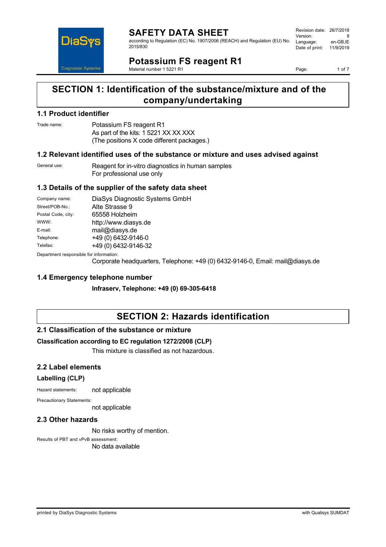

#### **SAFETY DATA SHEET** according to Regulation (EC) No. 1907/2006 (REACH) and Regulation (EU) No. 2015/830

Revision date: 26/7/2018 Version: 8<br>Language: en-GB IE Language: Date of print: 11/9/2019

**Potassium FS reagent R1**

Material number 1 5221 R1

Page: 1 of 7

## **SECTION 1: Identification of the substance/mixture and of the company/undertaking**

### **1.1 Product identifier**

### Trade name: Potassium FS reagent R1 As part of the kits: 1 5221 XX XX XXX (The positions X code different packages.)

### **1.2 Relevant identified uses of the substance or mixture and uses advised against**

| General use: | Reagent for in-vitro diagnostics in human samples |
|--------------|---------------------------------------------------|
|              | For professional use only                         |

### **1.3 Details of the supplier of the safety data sheet**

| Company name:      | DiaSys Diagnostic Systems GmbH |
|--------------------|--------------------------------|
| Street/POB-No.:    | Alte Strasse 9                 |
| Postal Code, city: | 65558 Holzheim                 |
| WWW:               | http://www.diasys.de           |
| E-mail:            | mail@diasys.de                 |
| Telephone:         | +49 (0) 6432-9146-0            |
| Telefax:           | +49 (0) 6432-9146-32           |
|                    |                                |

Department responsible for information:

Corporate headquarters, Telephone: +49 (0) 6432-9146-0, Email: mail@diasys.de

### **1.4 Emergency telephone number**

**Infraserv, Telephone: +49 (0) 69-305-6418**

## **SECTION 2: Hazards identification**

### **2.1 Classification of the substance or mixture**

### **Classification according to EC regulation 1272/2008 (CLP)**

This mixture is classified as not hazardous.

### **2.2 Label elements**

### **Labelling (CLP)**

Hazard statements: not applicable

Precautionary Statements:

not applicable

### **2.3 Other hazards**

No risks worthy of mention.

Results of PBT and vPvB assessment: No data available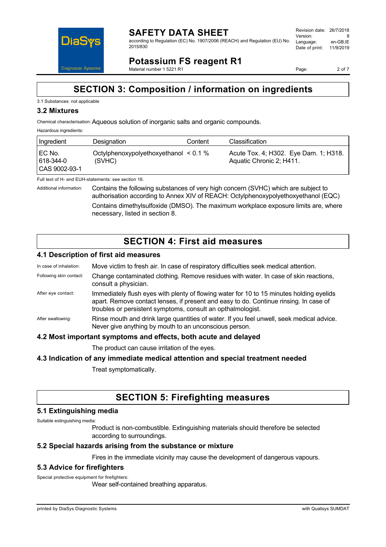

#### **SAFETY DATA SHEET** according to Regulation (EC) No. 1907/2006 (REACH) and Regulation (EU) No. 2015/830

Revision date: 26/7/2018 Version: 8<br>Language: en-GB IE Language: Date of print: 11/9/2019

**Potassium FS reagent R1**

Material number 1 5221 R1

Page: 2 of 7

## **SECTION 3: Composition / information on ingredients**

### 3.1 Substances: not applicable

### **3.2 Mixtures**

Chemical characterisation:Aqueous solution of inorganic salts and organic compounds.

#### Hazardous ingredients:

| Ingredient                               | Designation                                          | Content | Classification                                                    |
|------------------------------------------|------------------------------------------------------|---------|-------------------------------------------------------------------|
| I EC No.<br>  618-344-0<br>CAS 9002-93-1 | Octylphenoxypolyethoxyethanol $\leq 0.1$ %<br>(SVHC) |         | Acute Tox. 4; H302. Eye Dam. 1; H318.<br>Aquatic Chronic 2; H411. |

Full text of H- and EUH-statements: see section 16.

Additional information: Contains the following substances of very high concern (SVHC) which are subject to authorisation according to Annex XIV of REACH: Octylphenoxypolyethoxyethanol (EQC) Contains dimethylsulfoxide (DMSO). The maximum workplace exposure limits are, where necessary, listed in section 8.

## **SECTION 4: First aid measures**

### **4.1 Description of first aid measures**

- In case of inhalation: Move victim to fresh air. In case of respiratory difficulties seek medical attention.
- Following skin contact: Change contaminated clothing. Remove residues with water. In case of skin reactions, consult a physician.
- After eye contact: Immediately flush eyes with plenty of flowing water for 10 to 15 minutes holding eyelids apart. Remove contact lenses, if present and easy to do. Continue rinsing. In case of troubles or persistent symptoms, consult an opthalmologist.
- After swallowing: Rinse mouth and drink large quantities of water. If you feel unwell, seek medical advice. Never give anything by mouth to an unconscious person.

### **4.2 Most important symptoms and effects, both acute and delayed**

The product can cause irritation of the eyes.

### **4.3 Indication of any immediate medical attention and special treatment needed**

Treat symptomatically.

## **SECTION 5: Firefighting measures**

### **5.1 Extinguishing media**

Suitable extinguishing media:

Product is non-combustible. Extinguishing materials should therefore be selected according to surroundings.

### **5.2 Special hazards arising from the substance or mixture**

Fires in the immediate vicinity may cause the development of dangerous vapours.

### **5.3 Advice for firefighters**

Special protective equipment for firefighters:

Wear self-contained breathing apparatus.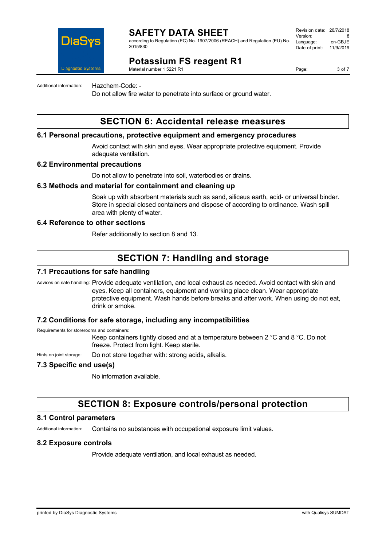

## **SAFETY DATA SHEET**

according to Regulation (EC) No. 1907/2006 (REACH) and Regulation (EU) No. 2015/830

Revision date: 26/7/2018 Version: 8<br>Language: en-GB IE Language: Date of print: 11/9/2019

## **Potassium FS reagent R1**

Material number 1 5221 R1

Page: 3 of 7

Additional information: Hazchem-Code: -

Do not allow fire water to penetrate into surface or ground water.

## **SECTION 6: Accidental release measures**

### **6.1 Personal precautions, protective equipment and emergency procedures**

Avoid contact with skin and eyes. Wear appropriate protective equipment. Provide adequate ventilation.

### **6.2 Environmental precautions**

Do not allow to penetrate into soil, waterbodies or drains.

### **6.3 Methods and material for containment and cleaning up**

Soak up with absorbent materials such as sand, siliceus earth, acid- or universal binder. Store in special closed containers and dispose of according to ordinance. Wash spill area with plenty of water.

### **6.4 Reference to other sections**

Refer additionally to section 8 and 13.

## **SECTION 7: Handling and storage**

### **7.1 Precautions for safe handling**

Advices on safe handling: Provide adequate ventilation, and local exhaust as needed. Avoid contact with skin and eyes. Keep all containers, equipment and working place clean. Wear appropriate protective equipment. Wash hands before breaks and after work. When using do not eat, drink or smoke.

### **7.2 Conditions for safe storage, including any incompatibilities**

Requirements for storerooms and containers:

Keep containers tightly closed and at a temperature between 2 °C and 8 °C. Do not freeze. Protect from light. Keep sterile.

Hints on joint storage: Do not store together with: strong acids, alkalis.

### **7.3 Specific end use(s)**

No information available.

### **SECTION 8: Exposure controls/personal protection**

### **8.1 Control parameters**

Additional information: Contains no substances with occupational exposure limit values.

### **8.2 Exposure controls**

Provide adequate ventilation, and local exhaust as needed.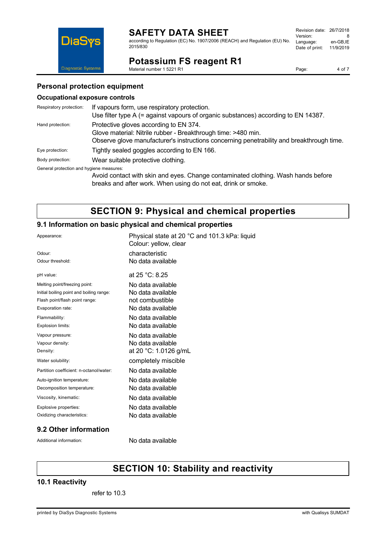## **SAFETY DATA SHEET**

according to Regulation (EC) No. 1907/2006 (REACH) and Regulation (EU) No. 2015/830

| Revision date: 26/7/2018 |           |
|--------------------------|-----------|
| Version:                 | 8         |
| Language:                | en-GB.IE  |
| Date of print:           | 11/9/2019 |
|                          |           |

## **Potassium FS reagent R1**

Material number 1 5221 R1

Page: 4 of 7

### **Personal protection equipment**

### **Occupational exposure controls**

**DiaSys** 

Diagnostic Systems

| Respiratory protection:                  | If vapours form, use respiratory protection.                                              |
|------------------------------------------|-------------------------------------------------------------------------------------------|
|                                          | Use filter type A $(=$ against vapours of organic substances) according to EN 14387.      |
| Hand protection:                         | Protective gloves according to EN 374.                                                    |
|                                          | Glove material: Nitrile rubber - Breakthrough time: >480 min.                             |
|                                          | Observe glove manufacturer's instructions concerning penetrability and breakthrough time. |
| Eye protection:                          | Tightly sealed goggles according to EN 166.                                               |
| Body protection:                         | Wear suitable protective clothing.                                                        |
| General protection and hygiene measures: |                                                                                           |
|                                          | Avoid contact with skin and eyes. Change contaminated clothing. Wash hands before         |
|                                          | breaks and after work. When using do not eat, drink or smoke.                             |

## **SECTION 9: Physical and chemical properties**

### **9.1 Information on basic physical and chemical properties**

| Appearance:                              | Physical state at 20 °C and 101.3 kPa: liquid<br>Colour: yellow, clear |
|------------------------------------------|------------------------------------------------------------------------|
| Odour:                                   | characteristic                                                         |
| Odour threshold:                         | No data available                                                      |
| pH value:                                | at $25 °C: 8.25$                                                       |
| Melting point/freezing point:            | No data available                                                      |
| Initial boiling point and boiling range: | No data available                                                      |
| Flash point/flash point range:           | not combustible                                                        |
| Evaporation rate:                        | No data available                                                      |
| Flammability:                            | No data available                                                      |
| Explosion limits:                        | No data available                                                      |
| Vapour pressure:                         | No data available                                                      |
| Vapour density:                          | No data available                                                      |
| Density:                                 | at 20 °C: 1.0126 g/mL                                                  |
| Water solubility:                        | completely miscible                                                    |
| Partition coefficient: n-octanol/water:  | No data available                                                      |
| Auto-ignition temperature:               | No data available                                                      |
| Decomposition temperature:               | No data available                                                      |
| Viscosity, kinematic:                    | No data available                                                      |
| Explosive properties:                    | No data available                                                      |
| Oxidizing characteristics:               | No data available                                                      |
|                                          |                                                                        |

### **9.2 Other information**

Additional information: No data available

# **SECTION 10: Stability and reactivity**

### **10.1 Reactivity**

refer to 10.3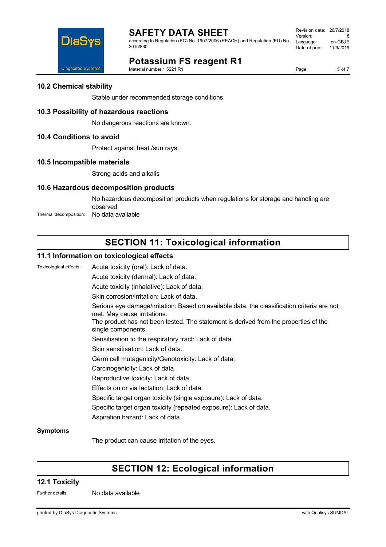

according to Regulation (EC) No. 1907/2006 (REACH) and Regulation (EU) No. 2015/830

| Revision date: 26/7/2018 |           |
|--------------------------|-----------|
| Version:                 | 8         |
| Language:                | en-GB.IE  |
| Date of print:           | 11/9/2019 |
|                          |           |



## **Potassium FS reagent R1**

Material number 1 5221 R1

Page: 5 of 7

### **10.2 Chemical stability**

Stable under recommended storage conditions.

### **10.3 Possibility of hazardous reactions**

No dangerous reactions are known.

### **10.4 Conditions to avoid**

Protect against heat /sun rays.

### **10.5 Incompatible materials**

Strong acids and alkalis

### **10.6 Hazardous decomposition products**

No hazardous decomposition products when regulations for storage and handling are observed. Thermal decomposition: No data available

# **SECTION 11: Toxicological information**

### **11.1 Information on toxicological effects**

Toxicological effects: Acute toxicity (oral): Lack of data.

Acute toxicity (dermal): Lack of data.

Acute toxicity (inhalative): Lack of data.

Skin corrosion/irritation: Lack of data.

Serious eye damage/irritation: Based on available data, the classification criteria are not met. May cause irritations.

The product has not been tested. The statement is derived from the properties of the single components.

Sensitisation to the respiratory tract: Lack of data.

- Skin sensitisation: Lack of data.
- Germ cell mutagenicity/Genotoxicity: Lack of data.
- Carcinogenicity: Lack of data.
- Reproductive toxicity: Lack of data.
- Effects on or via lactation: Lack of data.
- Specific target organ toxicity (single exposure): Lack of data.
- Specific target organ toxicity (repeated exposure): Lack of data.
- Aspiration hazard: Lack of data.

### **Symptoms**

The product can cause irritation of the eyes.

## **SECTION 12: Ecological information**

### **12.1 Toxicity**

Further details: No data available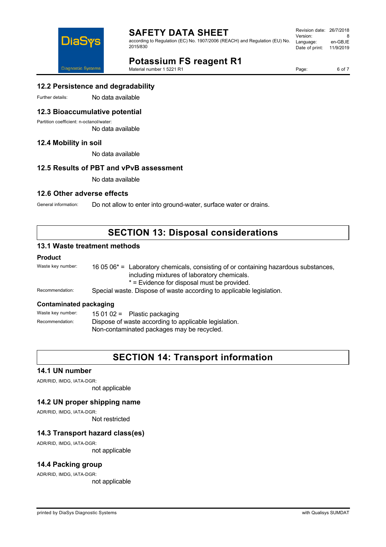

## **SAFETY DATA SHEET**

according to Regulation (EC) No. 1907/2006 (REACH) and Regulation (EU) No. 2015/830

| Revision date: 26/7/2018 |           |
|--------------------------|-----------|
|                          |           |
| Version:                 | 8         |
| Language:                | en-GB,IE  |
| Date of print:           | 11/9/2019 |
|                          |           |

**Potassium FS reagent R1**

Material number 1 5221 R1

Page: 6 of 7

### **12.2 Persistence and degradability**

Further details: No data available

### **12.3 Bioaccumulative potential**

Partition coefficient: n-octanol/water:

No data available

### **12.4 Mobility in soil**

No data available

### **12.5 Results of PBT and vPvB assessment**

No data available

### **12.6 Other adverse effects**

General information: Do not allow to enter into ground-water, surface water or drains.

## **SECTION 13: Disposal considerations**

### **13.1 Waste treatment methods**

### **Product**

| Waste key number: | 16 05 $06^*$ = Laboratory chemicals, consisting of or containing hazardous substances,<br>including mixtures of laboratory chemicals. |
|-------------------|---------------------------------------------------------------------------------------------------------------------------------------|
|                   | * = Evidence for disposal must be provided.                                                                                           |
| Recommendation:   | Special waste. Dispose of waste according to applicable legislation.                                                                  |
|                   |                                                                                                                                       |

### **Contaminated packaging**

| Waste key number: | 15 01 02 = Plastic packaging                          |  |
|-------------------|-------------------------------------------------------|--|
| Recommendation:   | Dispose of waste according to applicable legislation. |  |
|                   | Non-contaminated packages may be recycled.            |  |

## **SECTION 14: Transport information**

### **14.1 UN number**

ADR/RID, IMDG, IATA-DGR:

not applicable

### **14.2 UN proper shipping name**

ADR/RID, IMDG, IATA-DGR:

Not restricted

### **14.3 Transport hazard class(es)**

ADR/RID, IMDG, IATA-DGR: not applicable

# **14.4 Packing group**

ADR/RID, IMDG, IATA-DGR:

not applicable